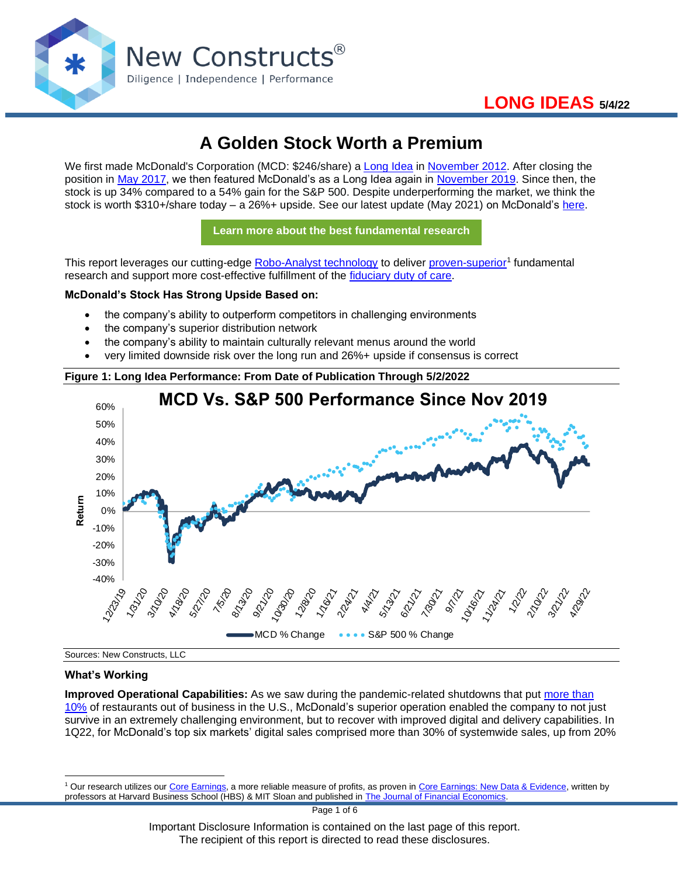

# **A Golden Stock Worth a Premium**

We first made McDonald's Corporation (MCD: \$246/share) a [Long Idea](https://www.newconstructs.com/category/stock-plays-of-the-week/) in [November 2012.](http://blog.newconstructs.com/2012/11/13/time-to-dig-in-to-mcdonalds-mcd/) After closing the position in [May 2017,](https://www.newconstructs.com/position-update-long-idea-and-danger-zone-research/) we then featured McDonald's as a Long Idea again in [November 2019.](https://www.newconstructs.com/were-loving-this-buy-the-dip-opportunity/) Since then, the stock is up 34% compared to a 54% gain for the S&P 500. Despite underperforming the market, we think the stock is worth \$310+/share today – a 26%+ upside. See our latest update (May 2021) on McDonald's [here.](https://www.newconstructs.com/1q21-earnings-reveal-plenty-of-upside-in-these-3-laggards/)

**[Learn more about the best fundamental research](https://www.newconstructs.com/email-sign-up-best-fundamental-research/)**

This report leverages our cutting-edge [Robo-Analyst technology](https://www.newconstructs.com/landing/robo-analyst-technology/) to deliver [proven-superior](https://www.newconstructs.com/proof-of-the-superiority-of-our-data-models-ratings/)<sup>1</sup> fundamental research and support more cost-effective fulfillment of the [fiduciary duty of care.](https://www.newconstructs.com/even-without-the-law-fiduciary-rule-awareness-remains/)

### **McDonald's Stock Has Strong Upside Based on:**

- the company's ability to outperform competitors in challenging environments
- the company's superior distribution network
- the company's ability to maintain culturally relevant menus around the world
- very limited downside risk over the long run and 26%+ upside if consensus is correct





Sources: New Constructs, LLC

#### **What's Working**

**Improved Operational Capabilities:** As we saw during the pandemic-related shutdowns that put [more than](https://www.restaurantdive.com/news/report-10-of-all-restaurants-have-closed-during-pandemic/597521/)  [10%](https://www.restaurantdive.com/news/report-10-of-all-restaurants-have-closed-during-pandemic/597521/) of restaurants out of business in the U.S., McDonald's superior operation enabled the company to not just survive in an extremely challenging environment, but to recover with improved digital and delivery capabilities. In 1Q22, for McDonald's top six markets' digital sales comprised more than 30% of systemwide sales, up from 20%

Important Disclosure Information is contained on the last page of this report. The recipient of this report is directed to read these disclosures.

<sup>1</sup> Our research utilizes our [Core Earnings,](https://www.newconstructs.com/education-core-earnings-earnings-distortion/) a more reliable measure of profits, as proven in [Core Earnings: New Data & Evidence,](https://www.newconstructs.com/its-official-we-offer-the-best-fundamental-data-in-the-world/) written by professors at Harvard Business School (HBS) & MIT Sloan and published in [The Journal of Financial Economics.](https://papers.ssrn.com/sol3/papers.cfm?abstract_id=3467814)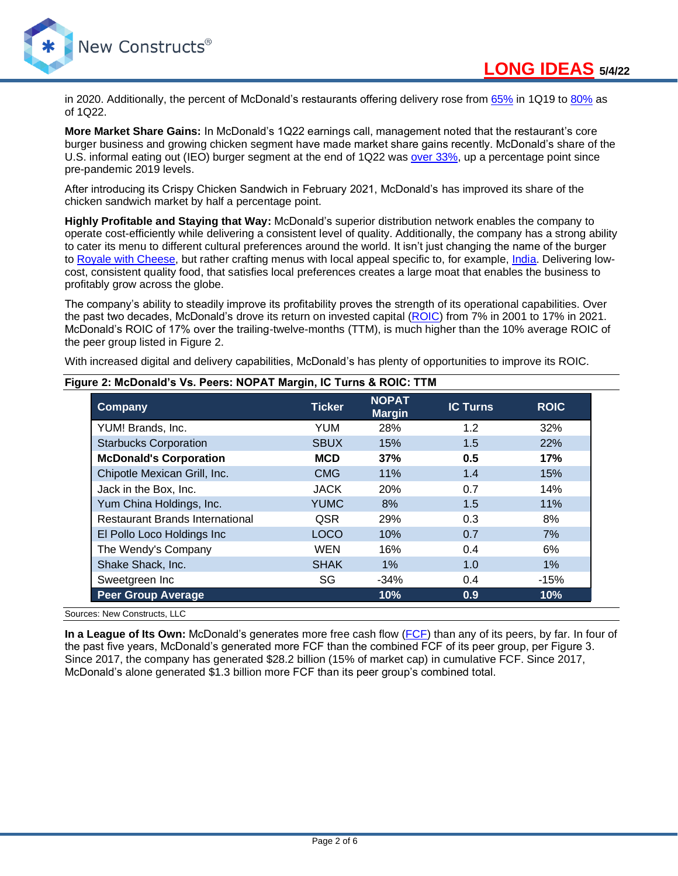

in 2020. Additionally, the percent of McDonald's restaurants offering delivery rose from [65%](https://seekingalpha.com/article/4319957-mcdonalds-corp-mcd-ceo-chris-kempczinski-on-q4-2019-results-earnings-call-transcript) in 1Q19 to [80%](https://seekingalpha.com/article/4504586-mcdonalds-corporation-mcd-ceo-chris-kempczinski-on-q1-2022-results-earnings-call-transcript) as of 1Q22.

**More Market Share Gains:** In McDonald's 1Q22 earnings call, management noted that the restaurant's core burger business and growing chicken segment have made market share gains recently. McDonald's share of the U.S. informal eating out (IEO) burger segment at the end of 1Q22 was [over 33%,](https://seekingalpha.com/article/4504586-mcdonalds-corporation-mcd-ceo-chris-kempczinski-on-q1-2022-results-earnings-call-transcript) up a percentage point since pre-pandemic 2019 levels.

After introducing its Crispy Chicken Sandwich in February 2021, McDonald's has improved its share of the chicken sandwich market by half a percentage point.

**Highly Profitable and Staying that Way:** McDonald's superior distribution network enables the company to operate cost-efficiently while delivering a consistent level of quality. Additionally, the company has a strong ability to cater its menu to different cultural preferences around the world. It isn't just changing the name of the burger to [Royale with Cheese,](https://www.thetravel.com/what-do-they-call-quarter-pounder/) but rather crafting menus with local appeal specific to, for example, [India.](https://www.mcdonaldsindia.com/products.html) Delivering lowcost, consistent quality food, that satisfies local preferences creates a large moat that enables the business to profitably grow across the globe.

The company's ability to steadily improve its profitability proves the strength of its operational capabilities. Over the past two decades, McDonald's drove its return on invested capital [\(ROIC\)](/Users/mshuler/Downloads/We%20leverage%20more%20reliable%20fundamental%20data%20%20to%20provide%20research%20that%20is%20comprehensive,%20objective,%20transparent,%20and%20relevant%20to%20help%20fulfill%20the%20fiduciary%20duty%20of%20care%20and%20also%20pick%20this%20Long%20Idea.) from 7% in 2001 to 17% in 2021. McDonald's ROIC of 17% over the trailing-twelve-months (TTM), is much higher than the 10% average ROIC of the peer group listed in Figure 2.

With increased digital and delivery capabilities, McDonald's has plenty of opportunities to improve its ROIC.

| Company                                | <b>Ticker</b> | <b>NOPAT</b><br><b>Margin</b> | <b>IC Turns</b> | <b>ROIC</b> |
|----------------------------------------|---------------|-------------------------------|-----------------|-------------|
| YUM! Brands, Inc.                      | <b>YUM</b>    | 28%                           | 1.2             | 32%         |
| <b>Starbucks Corporation</b>           | <b>SBUX</b>   | 15%                           | 1.5             | 22%         |
| <b>McDonald's Corporation</b>          | <b>MCD</b>    | 37%                           | 0.5             | 17%         |
| Chipotle Mexican Grill, Inc.           | <b>CMG</b>    | 11%                           | 1.4             | 15%         |
| Jack in the Box, Inc.                  | <b>JACK</b>   | <b>20%</b>                    | 0.7             | 14%         |
| Yum China Holdings, Inc.               | <b>YUMC</b>   | 8%                            | 1.5             | 11%         |
| <b>Restaurant Brands International</b> | QSR           | 29%                           | 0.3             | 8%          |
| El Pollo Loco Holdings Inc             | <b>LOCO</b>   | 10%                           | 0.7             | 7%          |
| The Wendy's Company                    | <b>WEN</b>    | 16%                           | 0.4             | 6%          |
| Shake Shack, Inc.                      | <b>SHAK</b>   | $1\%$                         | 1.0             | 1%          |
| Sweetgreen Inc                         | SG            | $-34%$                        | 0.4             | $-15%$      |
| <b>Peer Group Average</b>              |               | 10%                           | 0.9             | 10%         |

### **Figure 2: McDonald's Vs. Peers: NOPAT Margin, IC Turns & ROIC: TTM**

Sources: New Constructs, LLC

**In a League of Its Own:** McDonald's generates more free cash flow [\(FCF\)](https://www.newconstructs.com/education-free-cash-flow/) than any of its peers, by far. In four of the past five years, McDonald's generated more FCF than the combined FCF of its peer group, per Figure 3. Since 2017, the company has generated \$28.2 billion (15% of market cap) in cumulative FCF. Since 2017, McDonald's alone generated \$1.3 billion more FCF than its peer group's combined total.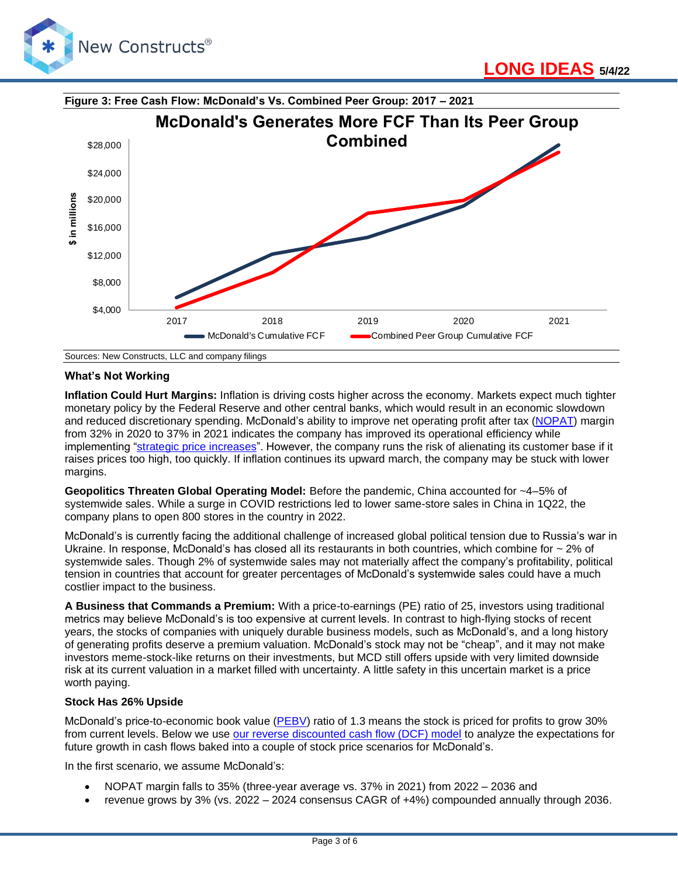



### **What's Not Working**

**Inflation Could Hurt Margins:** Inflation is driving costs higher across the economy. Markets expect much tighter monetary policy by the Federal Reserve and other central banks, which would result in an economic slowdown and reduced discretionary spending. McDonald's ability to improve net operating profit after tax [\(NOPAT\)](https://www.newconstructs.com/education-net-operating-profit/) margin from 32% in 2020 to 37% in 2021 indicates the company has improved its operational efficiency while implementing ["strategic price increases"](https://seekingalpha.com/article/4504586-mcdonalds-corporation-mcd-ceo-chris-kempczinski-on-q1-2022-results-earnings-call-transcript). However, the company runs the risk of alienating its customer base if it raises prices too high, too quickly. If inflation continues its upward march, the company may be stuck with lower margins.

**Geopolitics Threaten Global Operating Model:** Before the pandemic, China accounted for ~4–5% of systemwide sales. While a surge in COVID restrictions led to lower same-store sales in China in 1Q22, the company plans to open 800 stores in the country in 2022.

McDonald's is currently facing the additional challenge of increased global political tension due to Russia's war in Ukraine. In response, McDonald's has closed all its restaurants in both countries, which combine for  $\sim$  2% of systemwide sales. Though 2% of systemwide sales may not materially affect the company's profitability, political tension in countries that account for greater percentages of McDonald's systemwide sales could have a much costlier impact to the business.

**A Business that Commands a Premium:** With a price-to-earnings (PE) ratio of 25, investors using traditional metrics may believe McDonald's is too expensive at current levels. In contrast to high-flying stocks of recent years, the stocks of companies with uniquely durable business models, such as McDonald's, and a long history of generating profits deserve a premium valuation. McDonald's stock may not be "cheap", and it may not make investors meme-stock-like returns on their investments, but MCD still offers upside with very limited downside risk at its current valuation in a market filled with uncertainty. A little safety in this uncertain market is a price worth paying.

#### **Stock Has 26% Upside**

McDonald's price-to-economic book value [\(PEBV\)](https://www.newconstructs.com/education-economic-book-value/) ratio of 1.3 means the stock is priced for profits to grow 30% from current levels. Below we use [our reverse discounted cash flow \(DCF\) model](https://www.newconstructs.com/education-close-the-loopholes-how-our-dcf-works/) to analyze the expectations for future growth in cash flows baked into a couple of stock price scenarios for McDonald's.

In the first scenario, we assume McDonald's:

- NOPAT margin falls to 35% (three-year average vs. 37% in 2021) from 2022 2036 and
- revenue grows by 3% (vs. 2022 2024 consensus CAGR of +4%) compounded annually through 2036.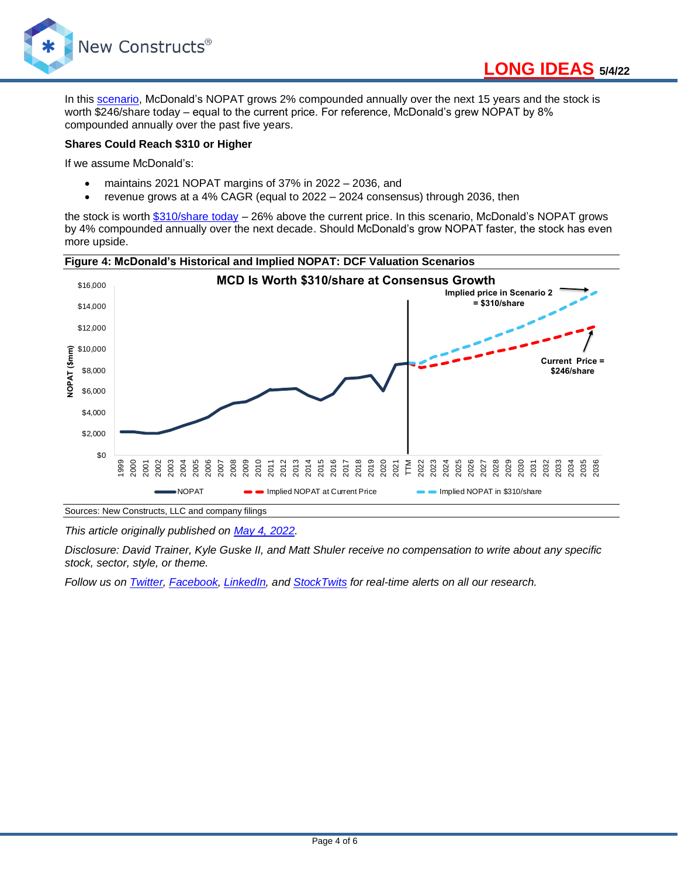

In this [scenario,](https://www.newconstructs.com/wp-content/uploads/2022/05/NewConstructs_DCF_MCDjustification_2021-5-4.png) McDonald's NOPAT grows 2% compounded annually over the next 15 years and the stock is worth \$246/share today – equal to the current price. For reference, McDonald's grew NOPAT by 8% compounded annually over the past five years.

#### **Shares Could Reach \$310 or Higher**

If we assume McDonald's:

- maintains 2021 NOPAT margins of 37% in 2022 2036, and
- revenue grows at a 4% CAGR (equal to 2022 2024 consensus) through 2036, then

the stock is worth [\\$310/share today](https://www.newconstructs.com/wp-content/uploads/2022/05/NewConstructs_DCF_MCDvaluation_2021-5-4.png) – 26% above the current price. In this scenario, McDonald's NOPAT grows by 4% compounded annually over the next decade. Should McDonald's grow NOPAT faster, the stock has even more upside.



#### **Figure 4: McDonald's Historical and Implied NOPAT: DCF Valuation Scenarios**

*This article originally published on [May 4, 2022.](https://www.newconstructs.com/a-golden-stock-worth-a-premium/)*

*Disclosure: David Trainer, Kyle Guske II, and Matt Shuler receive no compensation to write about any specific stock, sector, style, or theme.*

*Follow us on [Twitter,](https://twitter.com/NewConstructs) [Facebook,](https://www.facebook.com/newconstructsllc/) [LinkedIn,](https://www.linkedin.com/company/new-constructs) and [StockTwits](https://stocktwits.com/dtrainer_NewConstructs) for real-time alerts on all our research.*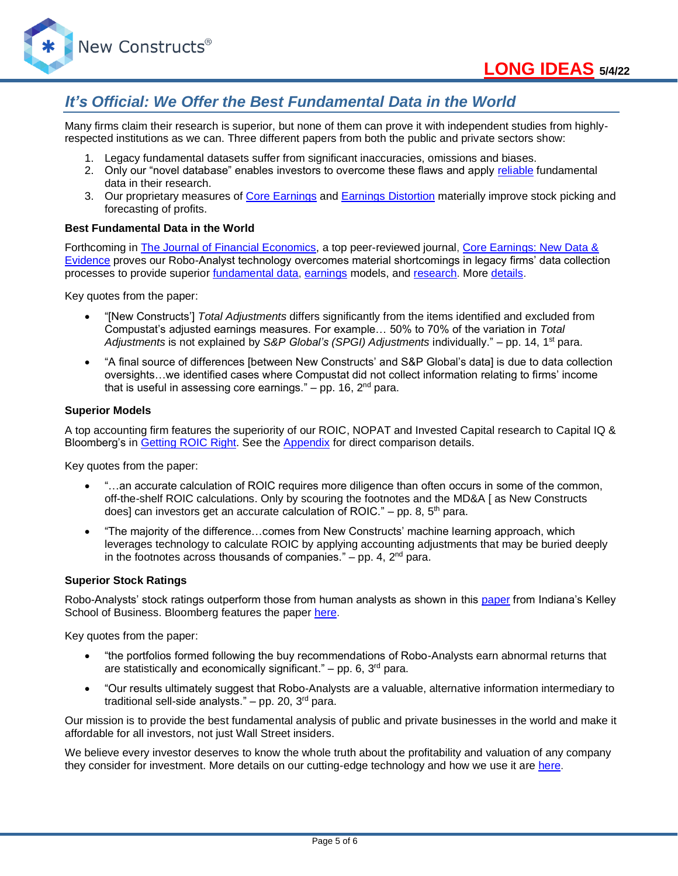

## *It's Official: We Offer the Best Fundamental Data in the World*

Many firms claim their research is superior, but none of them can prove it with independent studies from highlyrespected institutions as we can. Three different papers from both the public and private sectors show:

- 1. Legacy fundamental datasets suffer from significant inaccuracies, omissions and biases.
- 2. Only our "novel database" enables investors to overcome these flaws and apply [reliable](https://www.newconstructs.com/evidence-on-the-superiority-of-our-earnings-data/) fundamental data in their research.
- 3. Our proprietary measures of [Core Earnings](https://www.newconstructs.com/education-core-earnings-earnings-distortion/) and [Earnings Distortion](https://www.newconstructs.com/earnings-distortion-score-methodology/) materially improve stock picking and forecasting of profits.

#### **Best Fundamental Data in the World**

Forthcoming in [The Journal of Financial Economics,](http://jfe.rochester.edu/) a top peer-reviewed journal, [Core Earnings: New Data &](https://papers.ssrn.com/sol3/papers.cfm?abstract_id=3467814)  [Evidence](https://papers.ssrn.com/sol3/papers.cfm?abstract_id=3467814) proves our Robo-Analyst technology overcomes material shortcomings in legacy firms' data collection processes to provide superior [fundamental data,](https://www.newconstructs.com/data/) [earnings](https://www.newconstructs.com/education-core-earnings-earnings-distortion/) models, and [research.](https://www.newconstructs.com/blog/) More [details.](https://www.newconstructs.com/evidence-on-the-superiority-of-our-earnings-data/)

Key quotes from the paper:

- "[New Constructs'] *Total Adjustments* differs significantly from the items identified and excluded from Compustat's adjusted earnings measures. For example… 50% to 70% of the variation in *Total Adjustments* is not explained by *S&P Global's (SPGI) Adjustments* individually." – pp. 14, 1st para.
- "A final source of differences [between New Constructs' and S&P Global's data] is due to data collection oversights…we identified cases where Compustat did not collect information relating to firms' income that is useful in assessing core earnings."  $-$  pp. 16,  $2<sup>nd</sup>$  para.

#### **Superior Models**

A top accounting firm features the superiority of our ROIC, NOPAT and Invested Capital research to Capital IQ & Bloomberg's in [Getting](https://www.newconstructs.com/getting-roic-right/) ROIC Right. See the [Appendix](https://www.newconstructs.com/wp-content/uploads/2019/06/Getting-ROIC-Right.pdf) for direct comparison details.

Key quotes from the paper:

- "...an accurate calculation of ROIC requires more diligence than often occurs in some of the common, off-the-shelf ROIC calculations. Only by scouring the footnotes and the MD&A [ as New Constructs does] can investors get an accurate calculation of ROIC." – pp. 8,  $5<sup>th</sup>$  para.
- "The majority of the difference…comes from New Constructs' machine learning approach, which leverages technology to calculate ROIC by applying accounting adjustments that may be buried deeply in the footnotes across thousands of companies."  $-$  pp. 4,  $2<sup>nd</sup>$  para.

#### **Superior Stock Ratings**

Robo-Analysts' stock ratings outperform those from human analysts as shown in this [paper](https://papers.ssrn.com/sol3/papers.cfm?abstract_id=3514879) from Indiana's Kelley School of Business. Bloomberg features the paper [here.](https://www.bloomberg.com/news/articles/2020-02-11/robot-analysts-outwit-humans-in-study-of-profit-from-stock-calls?sref=zw7RLDfe)

Key quotes from the paper:

- "the portfolios formed following the buy recommendations of Robo-Analysts earn abnormal returns that are statistically and economically significant." – pp. 6,  $3<sup>rd</sup>$  para.
- "Our results ultimately suggest that Robo-Analysts are a valuable, alternative information intermediary to traditional sell-side analysts."  $-$  pp. 20, 3<sup>rd</sup> para.

Our mission is to provide the best fundamental analysis of public and private businesses in the world and make it affordable for all investors, not just Wall Street insiders.

We believe every investor deserves to know the whole truth about the profitability and valuation of any company they consider for investment. More details on our cutting-edge technology and how we use it are [here.](https://www.youtube.com/watch?v=wRUr5w4zDVA)